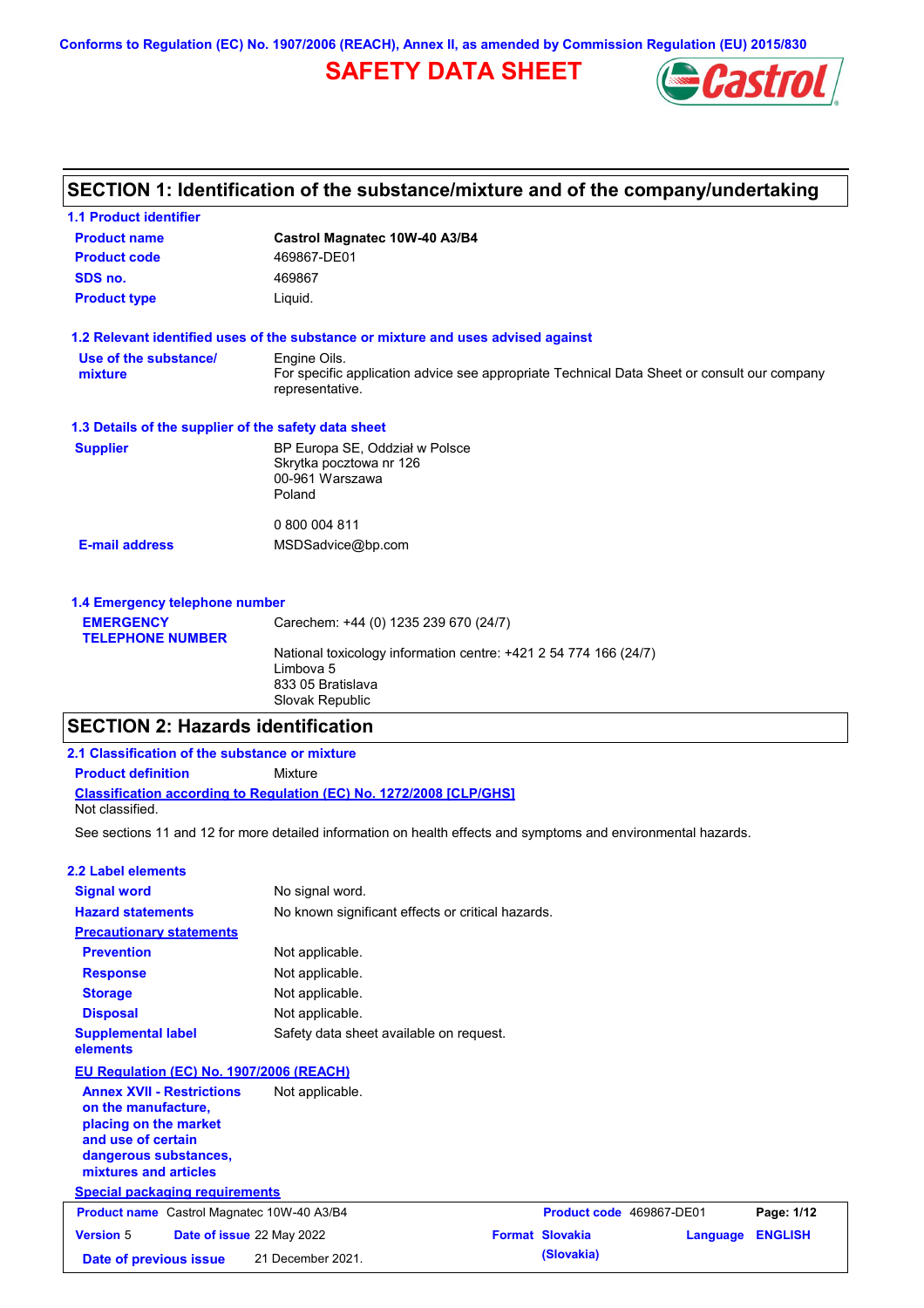**Conforms to Regulation (EC) No. 1907/2006 (REACH), Annex II, as amended by Commission Regulation (EU) 2015/830**

## **SAFETY DATA SHEET**



## **SECTION 1: Identification of the substance/mixture and of the company/undertaking**

| <b>1.1 Product identifier</b>                        |                                                                                                                |
|------------------------------------------------------|----------------------------------------------------------------------------------------------------------------|
| <b>Product name</b>                                  | Castrol Magnatec 10W-40 A3/B4                                                                                  |
| <b>Product code</b>                                  | 469867-DE01                                                                                                    |
| SDS no.                                              | 469867                                                                                                         |
| <b>Product type</b>                                  | Liquid.                                                                                                        |
|                                                      | 1.2 Relevant identified uses of the substance or mixture and uses advised against                              |
| Use of the substance/                                | Engine Oils.                                                                                                   |
| mixture                                              | For specific application advice see appropriate Technical Data Sheet or consult our company<br>representative. |
| 1.3 Details of the supplier of the safety data sheet |                                                                                                                |
| <b>Supplier</b>                                      | BP Europa SE, Oddział w Polsce                                                                                 |
|                                                      | Skrytka pocztowa nr 126                                                                                        |
|                                                      | 00-961 Warszawa                                                                                                |
|                                                      | Poland                                                                                                         |
|                                                      | 0 800 004 811                                                                                                  |
| <b>E-mail address</b>                                | MSDSadvice@bp.com                                                                                              |
|                                                      |                                                                                                                |
| 1.4 Emergency telephone number                       |                                                                                                                |
|                                                      |                                                                                                                |

| <b>EMERGENCY</b>        | Carechem: +44 (0) 1235 239 670 (24/7)                                                                                 |
|-------------------------|-----------------------------------------------------------------------------------------------------------------------|
| <b>TELEPHONE NUMBER</b> |                                                                                                                       |
|                         | National toxicology information centre: +421 2 54 774 166 (24/7)<br>Limbova 5<br>833 05 Bratislava<br>Slovak Republic |

## **SECTION 2: Hazards identification**

| 2.1 Classification of the substance or mixture                                                                                                           |                                                                                                                |                        |                          |          |                |
|----------------------------------------------------------------------------------------------------------------------------------------------------------|----------------------------------------------------------------------------------------------------------------|------------------------|--------------------------|----------|----------------|
| <b>Product definition</b>                                                                                                                                | <b>Mixture</b>                                                                                                 |                        |                          |          |                |
| Not classified.                                                                                                                                          | <b>Classification according to Regulation (EC) No. 1272/2008 [CLP/GHS]</b>                                     |                        |                          |          |                |
|                                                                                                                                                          | See sections 11 and 12 for more detailed information on health effects and symptoms and environmental hazards. |                        |                          |          |                |
| 2.2 Label elements                                                                                                                                       |                                                                                                                |                        |                          |          |                |
| <b>Signal word</b>                                                                                                                                       | No signal word.                                                                                                |                        |                          |          |                |
| <b>Hazard statements</b>                                                                                                                                 | No known significant effects or critical hazards.                                                              |                        |                          |          |                |
| <b>Precautionary statements</b>                                                                                                                          |                                                                                                                |                        |                          |          |                |
| <b>Prevention</b>                                                                                                                                        | Not applicable.                                                                                                |                        |                          |          |                |
| <b>Response</b>                                                                                                                                          | Not applicable.                                                                                                |                        |                          |          |                |
| <b>Storage</b>                                                                                                                                           | Not applicable.                                                                                                |                        |                          |          |                |
| <b>Disposal</b>                                                                                                                                          | Not applicable.                                                                                                |                        |                          |          |                |
| <b>Supplemental label</b><br>elements                                                                                                                    | Safety data sheet available on request.                                                                        |                        |                          |          |                |
| EU Regulation (EC) No. 1907/2006 (REACH)                                                                                                                 |                                                                                                                |                        |                          |          |                |
| <b>Annex XVII - Restrictions</b><br>on the manufacture.<br>placing on the market<br>and use of certain<br>dangerous substances,<br>mixtures and articles | Not applicable.                                                                                                |                        |                          |          |                |
| <b>Special packaging requirements</b>                                                                                                                    |                                                                                                                |                        |                          |          |                |
| <b>Product name</b> Castrol Magnatec 10W-40 A3/B4                                                                                                        |                                                                                                                |                        | Product code 469867-DE01 |          | Page: 1/12     |
| <b>Version 5</b><br>Date of issue 22 May 2022                                                                                                            |                                                                                                                | <b>Format Slovakia</b> |                          | Language | <b>ENGLISH</b> |

**Date of previous issue (Slovakia)** 21 December 2021.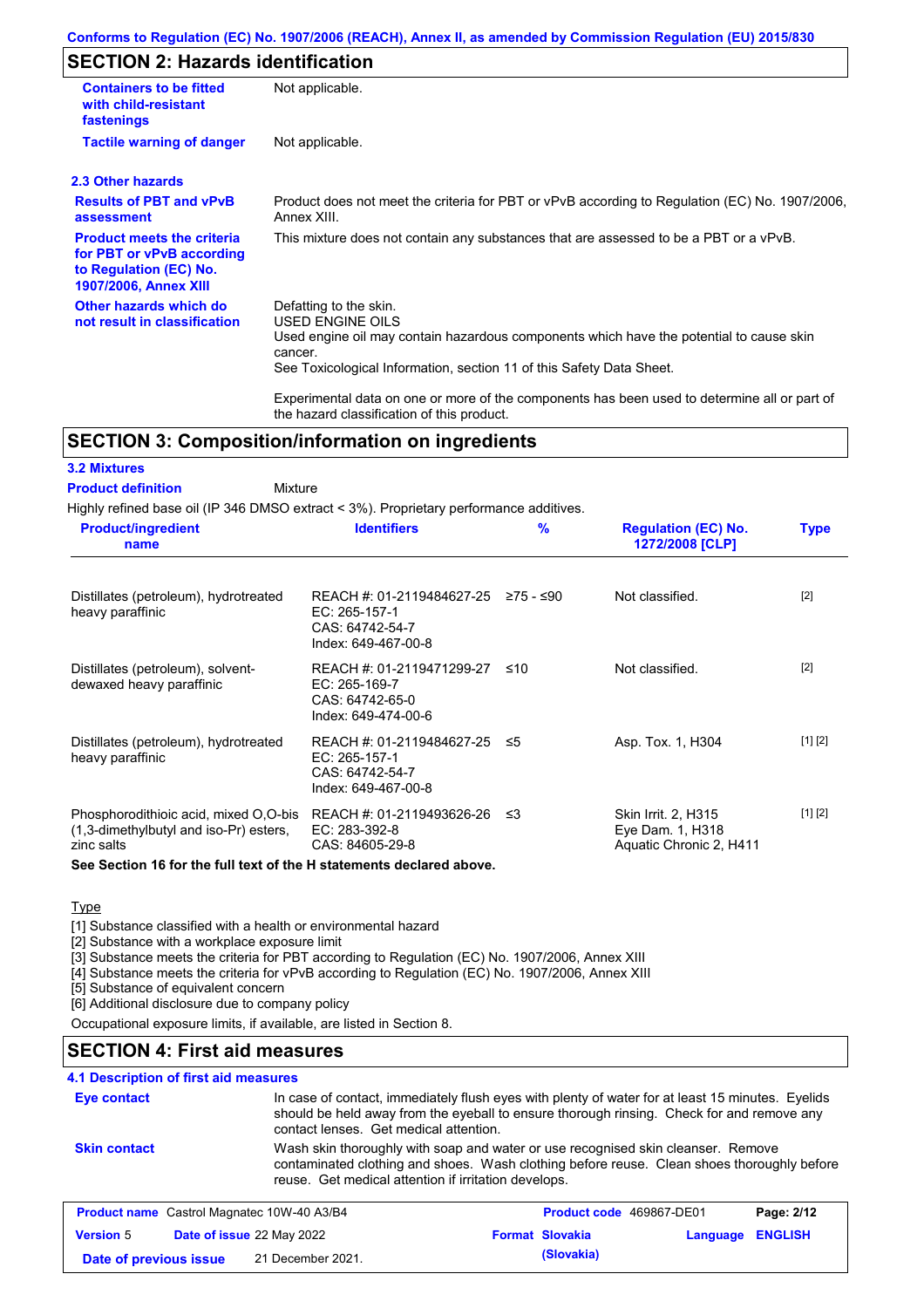## **SECTION 2: Hazards identification**

| <b>Containers to be fitted</b><br>with child-resistant<br>fastenings                                                     | Not applicable.                                                                                                                                                                                                                 |  |  |  |
|--------------------------------------------------------------------------------------------------------------------------|---------------------------------------------------------------------------------------------------------------------------------------------------------------------------------------------------------------------------------|--|--|--|
| <b>Tactile warning of danger</b><br>Not applicable.                                                                      |                                                                                                                                                                                                                                 |  |  |  |
| 2.3 Other hazards                                                                                                        |                                                                                                                                                                                                                                 |  |  |  |
| <b>Results of PBT and vPvB</b><br>assessment                                                                             | Product does not meet the criteria for PBT or vPvB according to Regulation (EC) No. 1907/2006,<br>Annex XIII.                                                                                                                   |  |  |  |
| <b>Product meets the criteria</b><br>for PBT or vPvB according<br>to Regulation (EC) No.<br><b>1907/2006, Annex XIII</b> | This mixture does not contain any substances that are assessed to be a PBT or a vPvB.                                                                                                                                           |  |  |  |
| Other hazards which do<br>not result in classification                                                                   | Defatting to the skin.<br><b>USED ENGINE OILS</b><br>Used engine oil may contain hazardous components which have the potential to cause skin<br>cancer.<br>See Toxicological Information, section 11 of this Safety Data Sheet. |  |  |  |
|                                                                                                                          | Experimental data on one or more of the components has been used to determine all or part of<br>the hazard classification of this product.                                                                                      |  |  |  |

## **SECTION 3: Composition/information on ingredients**

Mixture

### **3.2 Mixtures**

#### **Product definition**

Highly refined base oil (IP 346 DMSO extract < 3%). Proprietary performance additives.

| <b>Product/ingredient</b><br>name                                                             | <b>Identifiers</b>                                                                                       | $\frac{9}{6}$ | <b>Regulation (EC) No.</b><br>1272/2008 [CLP]                      | <b>Type</b> |
|-----------------------------------------------------------------------------------------------|----------------------------------------------------------------------------------------------------------|---------------|--------------------------------------------------------------------|-------------|
| Distillates (petroleum), hydrotreated<br>heavy paraffinic                                     | REACH #: 01-2119484627-25 $\ge$ 75 - $\le$ 90<br>EC: 265-157-1<br>CAS: 64742-54-7<br>Index: 649-467-00-8 |               | Not classified.                                                    | $[2]$       |
| Distillates (petroleum), solvent-<br>dewaxed heavy paraffinic                                 | REACH #: 01-2119471299-27 ≤10<br>$EC: 265-169-7$<br>CAS: 64742-65-0<br>Index: 649-474-00-6               |               | Not classified.                                                    | $[2]$       |
| Distillates (petroleum), hydrotreated<br>heavy paraffinic                                     | REACH #: 01-2119484627-25 ≤5<br>EC: 265-157-1<br>CAS: 64742-54-7<br>Index: 649-467-00-8                  |               | Asp. Tox. 1, H304                                                  | [1] [2]     |
| Phosphorodithioic acid, mixed O.O-bis<br>(1,3-dimethylbutyl and iso-Pr) esters,<br>zinc salts | REACH #: 01-2119493626-26<br>EC: 283-392-8<br>CAS: 84605-29-8                                            | -≤3           | Skin Irrit. 2, H315<br>Eye Dam. 1, H318<br>Aquatic Chronic 2, H411 | [1] [2]     |

**See Section 16 for the full text of the H statements declared above.**

### **Type**

[1] Substance classified with a health or environmental hazard

[2] Substance with a workplace exposure limit

[3] Substance meets the criteria for PBT according to Regulation (EC) No. 1907/2006, Annex XIII

**Date of previous issue (Slovakia)** 21 December 2021.

[4] Substance meets the criteria for vPvB according to Regulation (EC) No. 1907/2006, Annex XIII

[5] Substance of equivalent concern

[6] Additional disclosure due to company policy

Occupational exposure limits, if available, are listed in Section 8.

## **SECTION 4: First aid measures**

### **4.1 Description of first aid measures**

| Eye contact         |                                                                                                                                                                                                                                        | In case of contact, immediately flush eyes with plenty of water for at least 15 minutes. Eyelids<br>should be held away from the eyeball to ensure thorough rinsing. Check for and remove any<br>contact lenses. Get medical attention. |                          |          |                |
|---------------------|----------------------------------------------------------------------------------------------------------------------------------------------------------------------------------------------------------------------------------------|-----------------------------------------------------------------------------------------------------------------------------------------------------------------------------------------------------------------------------------------|--------------------------|----------|----------------|
| <b>Skin contact</b> | Wash skin thoroughly with soap and water or use recognised skin cleanser. Remove<br>contaminated clothing and shoes. Wash clothing before reuse. Clean shoes thoroughly before<br>reuse. Get medical attention if irritation develops. |                                                                                                                                                                                                                                         |                          |          |                |
|                     | <b>Product name</b> Castrol Magnatec 10W-40 A3/B4                                                                                                                                                                                      |                                                                                                                                                                                                                                         | Product code 469867-DE01 |          | Page: 2/12     |
| <b>Version 5</b>    | Date of issue 22 May 2022                                                                                                                                                                                                              |                                                                                                                                                                                                                                         | <b>Format Slovakia</b>   | Language | <b>ENGLISH</b> |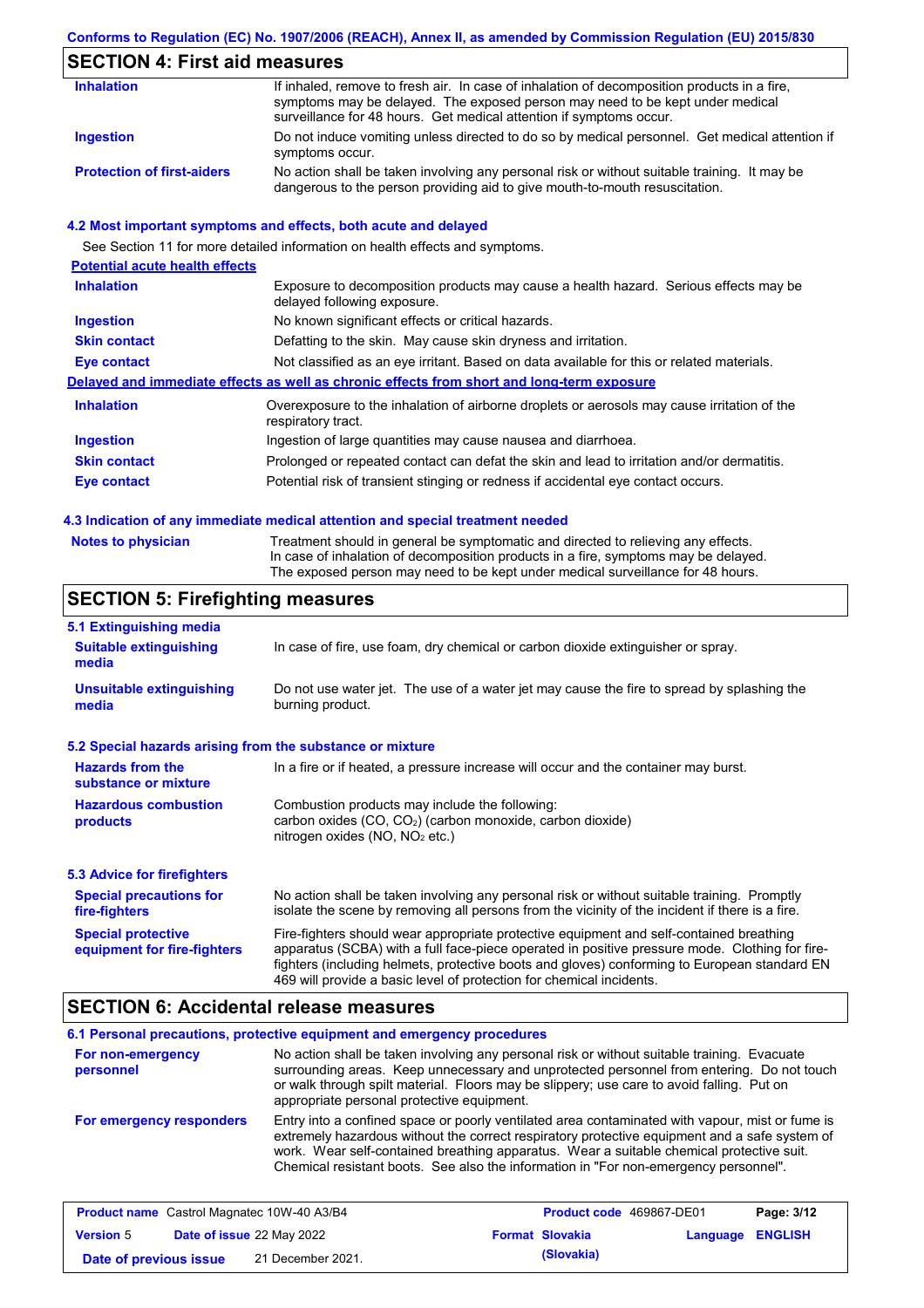### **Conforms to Regulation (EC) No. 1907/2006 (REACH), Annex II, as amended by Commission Regulation (EU) 2015/830**

## **SECTION 4: First aid measures**

| <b>Inhalation</b>                 | If inhaled, remove to fresh air. In case of inhalation of decomposition products in a fire,<br>symptoms may be delayed. The exposed person may need to be kept under medical<br>surveillance for 48 hours. Get medical attention if symptoms occur. |
|-----------------------------------|-----------------------------------------------------------------------------------------------------------------------------------------------------------------------------------------------------------------------------------------------------|
| Ingestion                         | Do not induce vomiting unless directed to do so by medical personnel. Get medical attention if<br>symptoms occur.                                                                                                                                   |
| <b>Protection of first-aiders</b> | No action shall be taken involving any personal risk or without suitable training. It may be<br>dangerous to the person providing aid to give mouth-to-mouth resuscitation.                                                                         |

### **4.2 Most important symptoms and effects, both acute and delayed**

See Section 11 for more detailed information on health effects and symptoms. **Potential acute health effects Inhalation** Exposure to decomposition products may cause a health hazard. Serious effects may be delayed following exposure. **Ingestion** No known significant effects or critical hazards. **Skin contact** Defatting to the skin. May cause skin dryness and irritation. **Eye contact** Not classified as an eye irritant. Based on data available for this or related materials. **Delayed and immediate effects as well as chronic effects from short and long-term exposure Inhalation Ingestion Skin contact Eye contact** Overexposure to the inhalation of airborne droplets or aerosols may cause irritation of the respiratory tract. Ingestion of large quantities may cause nausea and diarrhoea. Prolonged or repeated contact can defat the skin and lead to irritation and/or dermatitis. Potential risk of transient stinging or redness if accidental eye contact occurs.

#### **4.3 Indication of any immediate medical attention and special treatment needed**

| Notes to physician | Treatment should in general be symptomatic and directed to relieving any effects.   |
|--------------------|-------------------------------------------------------------------------------------|
|                    | In case of inhalation of decomposition products in a fire, symptoms may be delayed. |
|                    | The exposed person may need to be kept under medical surveillance for 48 hours.     |

## **SECTION 5: Firefighting measures**

| 5.1 Extinguishing media                                                                                                                                                                                                                                                                                                                                                                                                       |                                                                                                                |  |  |  |
|-------------------------------------------------------------------------------------------------------------------------------------------------------------------------------------------------------------------------------------------------------------------------------------------------------------------------------------------------------------------------------------------------------------------------------|----------------------------------------------------------------------------------------------------------------|--|--|--|
| In case of fire, use foam, dry chemical or carbon dioxide extinguisher or spray.<br><b>Suitable extinguishing</b><br>media                                                                                                                                                                                                                                                                                                    |                                                                                                                |  |  |  |
| <b>Unsuitable extinguishing</b><br>media                                                                                                                                                                                                                                                                                                                                                                                      | Do not use water jet. The use of a water jet may cause the fire to spread by splashing the<br>burning product. |  |  |  |
| 5.2 Special hazards arising from the substance or mixture                                                                                                                                                                                                                                                                                                                                                                     |                                                                                                                |  |  |  |
| <b>Hazards from the</b><br>In a fire or if heated, a pressure increase will occur and the container may burst.<br>substance or mixture                                                                                                                                                                                                                                                                                        |                                                                                                                |  |  |  |
| Combustion products may include the following:<br><b>Hazardous combustion</b><br>carbon oxides $(CO, CO2)$ (carbon monoxide, carbon dioxide)<br>products<br>nitrogen oxides ( $NO$ , $NO2$ etc.)                                                                                                                                                                                                                              |                                                                                                                |  |  |  |
| 5.3 Advice for firefighters                                                                                                                                                                                                                                                                                                                                                                                                   |                                                                                                                |  |  |  |
| No action shall be taken involving any personal risk or without suitable training. Promptly<br><b>Special precautions for</b><br>isolate the scene by removing all persons from the vicinity of the incident if there is a fire.<br>fire-fighters                                                                                                                                                                             |                                                                                                                |  |  |  |
| Fire-fighters should wear appropriate protective equipment and self-contained breathing<br><b>Special protective</b><br>apparatus (SCBA) with a full face-piece operated in positive pressure mode. Clothing for fire-<br>equipment for fire-fighters<br>fighters (including helmets, protective boots and gloves) conforming to European standard EN<br>469 will provide a basic level of protection for chemical incidents. |                                                                                                                |  |  |  |

### **SECTION 6: Accidental release measures**

| For non-emergency<br>personnel | 6.1 Personal precautions, protective equipment and emergency procedures<br>No action shall be taken involving any personal risk or without suitable training. Evacuate<br>surrounding areas. Keep unnecessary and unprotected personnel from entering. Do not touch<br>or walk through spilt material. Floors may be slippery; use care to avoid falling. Put on<br>appropriate personal protective equipment. |
|--------------------------------|----------------------------------------------------------------------------------------------------------------------------------------------------------------------------------------------------------------------------------------------------------------------------------------------------------------------------------------------------------------------------------------------------------------|
| For emergency responders       | Entry into a confined space or poorly ventilated area contaminated with vapour, mist or fume is<br>extremely hazardous without the correct respiratory protective equipment and a safe system of<br>work. Wear self-contained breathing apparatus. Wear a suitable chemical protective suit.<br>Chemical resistant boots. See also the information in "For non-emergency personnel".                           |

| <b>Product name</b> Castrol Magnatec 10W-40 A3/B4 |  | <b>Product code</b> 469867-DE01  |  | Page: 3/12             |                         |  |
|---------------------------------------------------|--|----------------------------------|--|------------------------|-------------------------|--|
| <b>Version 5</b>                                  |  | <b>Date of issue 22 May 2022</b> |  | <b>Format Slovakia</b> | <b>Language ENGLISH</b> |  |
| Date of previous issue                            |  | 21 December 2021.                |  | (Slovakia)             |                         |  |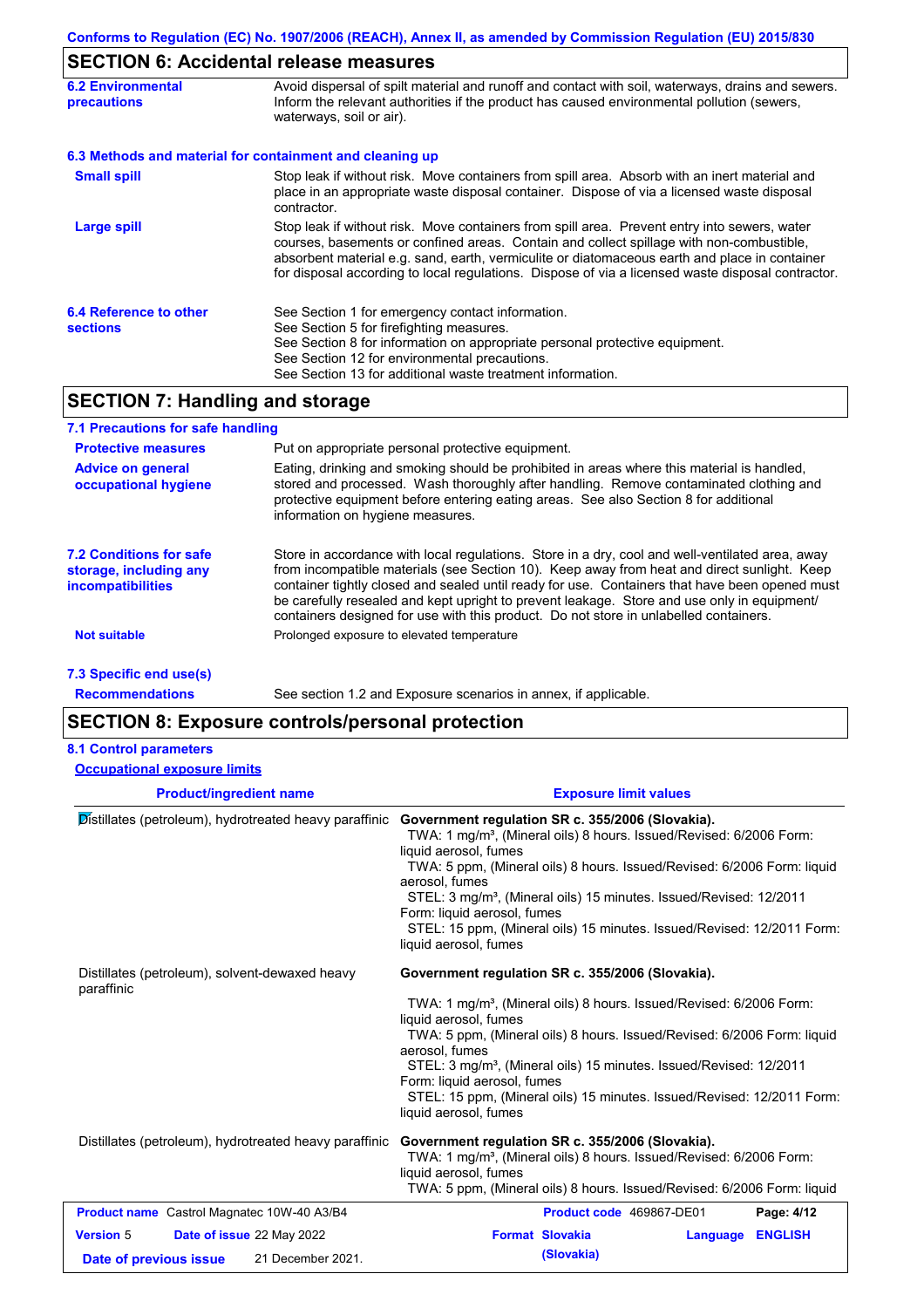# **SECTION 6: Accidental release measures**

| <b>6.2 Environmental</b><br><b>precautions</b> | Avoid dispersal of spilt material and runoff and contact with soil, waterways, drains and sewers.<br>Inform the relevant authorities if the product has caused environmental pollution (sewers,<br>waterways, soil or air).                                                                                                                                                                    |  |  |
|------------------------------------------------|------------------------------------------------------------------------------------------------------------------------------------------------------------------------------------------------------------------------------------------------------------------------------------------------------------------------------------------------------------------------------------------------|--|--|
|                                                | 6.3 Methods and material for containment and cleaning up                                                                                                                                                                                                                                                                                                                                       |  |  |
| <b>Small spill</b>                             | Stop leak if without risk. Move containers from spill area. Absorb with an inert material and<br>place in an appropriate waste disposal container. Dispose of via a licensed waste disposal<br>contractor.                                                                                                                                                                                     |  |  |
| Large spill                                    | Stop leak if without risk. Move containers from spill area. Prevent entry into sewers, water<br>courses, basements or confined areas. Contain and collect spillage with non-combustible,<br>absorbent material e.g. sand, earth, vermiculite or diatomaceous earth and place in container<br>for disposal according to local regulations. Dispose of via a licensed waste disposal contractor. |  |  |
| 6.4 Reference to other<br><b>sections</b>      | See Section 1 for emergency contact information.<br>See Section 5 for firefighting measures.<br>See Section 8 for information on appropriate personal protective equipment.<br>See Section 12 for environmental precautions.<br>See Section 13 for additional waste treatment information.                                                                                                     |  |  |

## **SECTION 7: Handling and storage**

| 7.1 Precautions for safe handling                                                    |                                                                                                                                                                                                                                                                                                                                                                                                                                                                                          |
|--------------------------------------------------------------------------------------|------------------------------------------------------------------------------------------------------------------------------------------------------------------------------------------------------------------------------------------------------------------------------------------------------------------------------------------------------------------------------------------------------------------------------------------------------------------------------------------|
| <b>Protective measures</b>                                                           | Put on appropriate personal protective equipment.                                                                                                                                                                                                                                                                                                                                                                                                                                        |
| <b>Advice on general</b><br>occupational hygiene                                     | Eating, drinking and smoking should be prohibited in areas where this material is handled,<br>stored and processed. Wash thoroughly after handling. Remove contaminated clothing and<br>protective equipment before entering eating areas. See also Section 8 for additional<br>information on hygiene measures.                                                                                                                                                                         |
| <b>7.2 Conditions for safe</b><br>storage, including any<br><i>incompatibilities</i> | Store in accordance with local requlations. Store in a dry, cool and well-ventilated area, away<br>from incompatible materials (see Section 10). Keep away from heat and direct sunlight. Keep<br>container tightly closed and sealed until ready for use. Containers that have been opened must<br>be carefully resealed and kept upright to prevent leakage. Store and use only in equipment/<br>containers designed for use with this product. Do not store in unlabelled containers. |
| <b>Not suitable</b>                                                                  | Prolonged exposure to elevated temperature                                                                                                                                                                                                                                                                                                                                                                                                                                               |
| 7.3 Specific end use(s)                                                              |                                                                                                                                                                                                                                                                                                                                                                                                                                                                                          |
| <b>Recommendations</b>                                                               | See section 1.2 and Exposure scenarios in annex, if applicable.                                                                                                                                                                                                                                                                                                                                                                                                                          |

## **SECTION 8: Exposure controls/personal protection**

### **8.1 Control parameters**

| <b>Occupational exposure limits</b>                                                          |                                                                                                                                                                                                                                                                                                                                                                                                                                                                               |
|----------------------------------------------------------------------------------------------|-------------------------------------------------------------------------------------------------------------------------------------------------------------------------------------------------------------------------------------------------------------------------------------------------------------------------------------------------------------------------------------------------------------------------------------------------------------------------------|
| <b>Product/ingredient name</b>                                                               | <b>Exposure limit values</b>                                                                                                                                                                                                                                                                                                                                                                                                                                                  |
| Distillates (petroleum), hydrotreated heavy paraffinic                                       | Government regulation SR c. 355/2006 (Slovakia).<br>TWA: 1 mg/m <sup>3</sup> , (Mineral oils) 8 hours. Issued/Revised: 6/2006 Form:<br>liquid aerosol, fumes<br>TWA: 5 ppm, (Mineral oils) 8 hours. Issued/Revised: 6/2006 Form: liquid<br>aerosol, fumes<br>STEL: 3 mg/m <sup>3</sup> , (Mineral oils) 15 minutes. Issued/Revised: 12/2011<br>Form: liquid aerosol, fumes<br>STEL: 15 ppm, (Mineral oils) 15 minutes. Issued/Revised: 12/2011 Form:<br>liquid aerosol, fumes |
| Distillates (petroleum), solvent-dewaxed heavy<br>paraffinic                                 | Government regulation SR c. 355/2006 (Slovakia).<br>TWA: 1 mg/m <sup>3</sup> , (Mineral oils) 8 hours. Issued/Revised: 6/2006 Form:<br>liquid aerosol, fumes<br>TWA: 5 ppm, (Mineral oils) 8 hours. Issued/Revised: 6/2006 Form: liquid<br>aerosol, fumes<br>STEL: 3 mg/m <sup>3</sup> , (Mineral oils) 15 minutes. Issued/Revised: 12/2011<br>Form: liquid aerosol, fumes<br>STEL: 15 ppm, (Mineral oils) 15 minutes. Issued/Revised: 12/2011 Form:<br>liquid aerosol, fumes |
| Distillates (petroleum), hydrotreated heavy paraffinic                                       | Government regulation SR c. 355/2006 (Slovakia).<br>TWA: 1 mg/m <sup>3</sup> , (Mineral oils) 8 hours. Issued/Revised: 6/2006 Form:<br>liquid aerosol, fumes<br>TWA: 5 ppm, (Mineral oils) 8 hours. Issued/Revised: 6/2006 Form: liquid                                                                                                                                                                                                                                       |
| Product name Castrol Magnatec 10W-40 A3/B4                                                   | Product code 469867-DE01<br>Page: 4/12                                                                                                                                                                                                                                                                                                                                                                                                                                        |
| <b>Version 5</b><br>Date of issue 22 May 2022<br>21 December 2021.<br>Date of previous issue | <b>Format Slovakia</b><br><b>ENGLISH</b><br>Language<br>(Slovakia)                                                                                                                                                                                                                                                                                                                                                                                                            |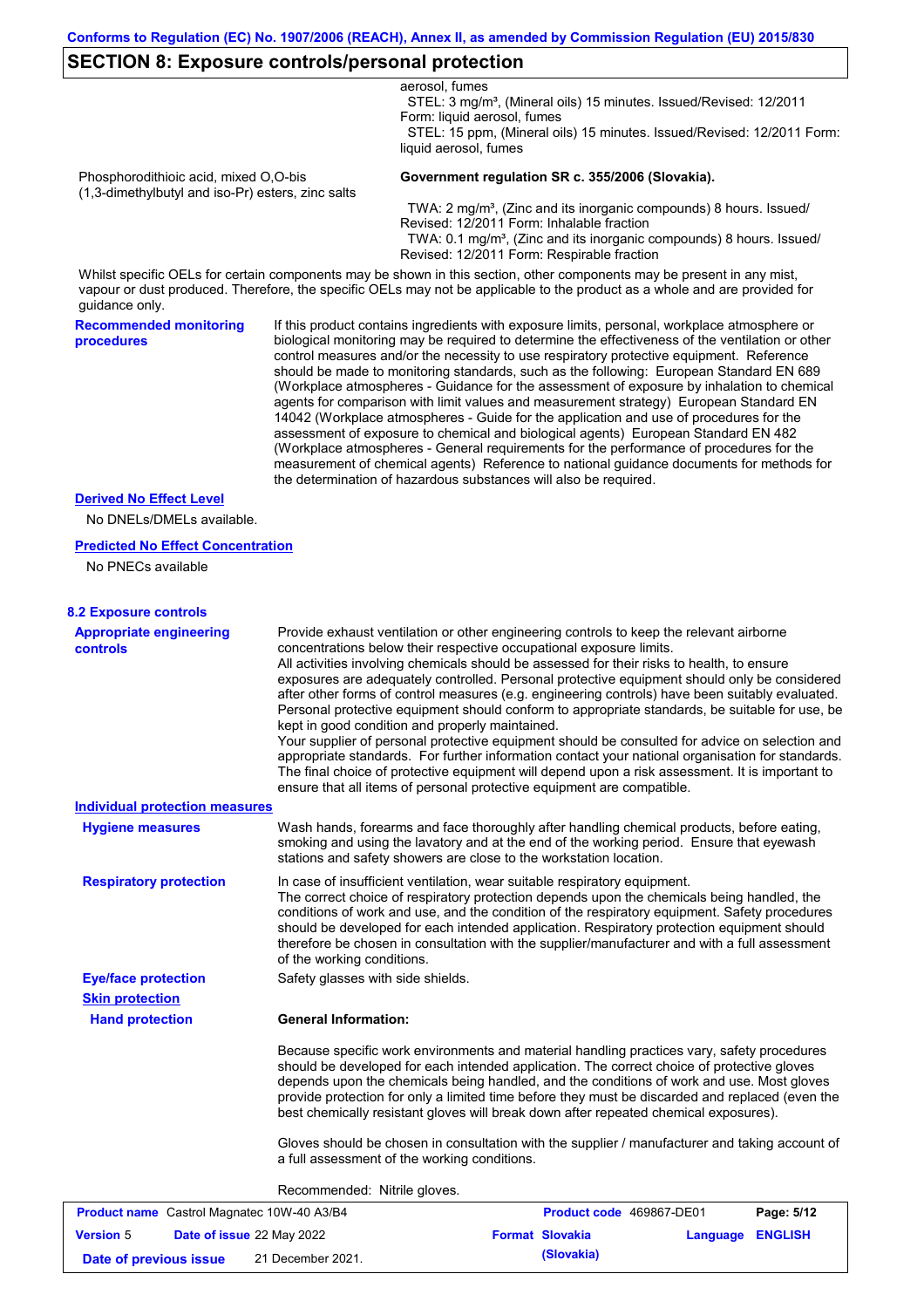### **SECTION 8: Exposure controls/personal protection**

|                                                                                            |                                   | aerosol, fumes<br>STEL: 3 mg/m <sup>3</sup> , (Mineral oils) 15 minutes. Issued/Revised: 12/2011<br>Form: liquid aerosol, fumes                                                                                                                                                                                                                                                                                                                                                                                                                                                                                                                                                                                                                                                                                                                                                                                                                                                                                            |
|--------------------------------------------------------------------------------------------|-----------------------------------|----------------------------------------------------------------------------------------------------------------------------------------------------------------------------------------------------------------------------------------------------------------------------------------------------------------------------------------------------------------------------------------------------------------------------------------------------------------------------------------------------------------------------------------------------------------------------------------------------------------------------------------------------------------------------------------------------------------------------------------------------------------------------------------------------------------------------------------------------------------------------------------------------------------------------------------------------------------------------------------------------------------------------|
|                                                                                            |                                   | STEL: 15 ppm, (Mineral oils) 15 minutes. Issued/Revised: 12/2011 Form:<br>liquid aerosol, fumes                                                                                                                                                                                                                                                                                                                                                                                                                                                                                                                                                                                                                                                                                                                                                                                                                                                                                                                            |
| Phosphorodithioic acid, mixed O,O-bis<br>(1,3-dimethylbutyl and iso-Pr) esters, zinc salts |                                   | Government regulation SR c. 355/2006 (Slovakia).                                                                                                                                                                                                                                                                                                                                                                                                                                                                                                                                                                                                                                                                                                                                                                                                                                                                                                                                                                           |
|                                                                                            |                                   | TWA: 2 mg/m <sup>3</sup> , (Zinc and its inorganic compounds) 8 hours. Issued/<br>Revised: 12/2011 Form: Inhalable fraction<br>TWA: 0.1 mg/m <sup>3</sup> , (Zinc and its inorganic compounds) 8 hours. Issued/<br>Revised: 12/2011 Form: Respirable fraction                                                                                                                                                                                                                                                                                                                                                                                                                                                                                                                                                                                                                                                                                                                                                              |
| guidance only.                                                                             |                                   | Whilst specific OELs for certain components may be shown in this section, other components may be present in any mist,<br>vapour or dust produced. Therefore, the specific OELs may not be applicable to the product as a whole and are provided for                                                                                                                                                                                                                                                                                                                                                                                                                                                                                                                                                                                                                                                                                                                                                                       |
| <b>Recommended monitoring</b><br>procedures                                                |                                   | If this product contains ingredients with exposure limits, personal, workplace atmosphere or<br>biological monitoring may be required to determine the effectiveness of the ventilation or other<br>control measures and/or the necessity to use respiratory protective equipment. Reference<br>should be made to monitoring standards, such as the following: European Standard EN 689<br>(Workplace atmospheres - Guidance for the assessment of exposure by inhalation to chemical<br>agents for comparison with limit values and measurement strategy) European Standard EN<br>14042 (Workplace atmospheres - Guide for the application and use of procedures for the<br>assessment of exposure to chemical and biological agents) European Standard EN 482<br>(Workplace atmospheres - General requirements for the performance of procedures for the<br>measurement of chemical agents) Reference to national guidance documents for methods for<br>the determination of hazardous substances will also be required. |
| <b>Derived No Effect Level</b>                                                             |                                   |                                                                                                                                                                                                                                                                                                                                                                                                                                                                                                                                                                                                                                                                                                                                                                                                                                                                                                                                                                                                                            |
| No DNELs/DMELs available.                                                                  |                                   |                                                                                                                                                                                                                                                                                                                                                                                                                                                                                                                                                                                                                                                                                                                                                                                                                                                                                                                                                                                                                            |
| <b>Predicted No Effect Concentration</b><br>No PNECs available                             |                                   |                                                                                                                                                                                                                                                                                                                                                                                                                                                                                                                                                                                                                                                                                                                                                                                                                                                                                                                                                                                                                            |
| <b>8.2 Exposure controls</b>                                                               |                                   |                                                                                                                                                                                                                                                                                                                                                                                                                                                                                                                                                                                                                                                                                                                                                                                                                                                                                                                                                                                                                            |
| <b>Appropriate engineering</b><br><b>controls</b>                                          |                                   | Provide exhaust ventilation or other engineering controls to keep the relevant airborne<br>concentrations below their respective occupational exposure limits.<br>All activities involving chemicals should be assessed for their risks to health, to ensure<br>exposures are adequately controlled. Personal protective equipment should only be considered<br>after other forms of control measures (e.g. engineering controls) have been suitably evaluated.<br>Personal protective equipment should conform to appropriate standards, be suitable for use, be<br>kept in good condition and properly maintained.<br>Your supplier of personal protective equipment should be consulted for advice on selection and<br>appropriate standards. For further information contact your national organisation for standards.<br>The final choice of protective equipment will depend upon a risk assessment. It is important to<br>ensure that all items of personal protective equipment are compatible.                    |
| <b>Individual protection measures</b>                                                      |                                   |                                                                                                                                                                                                                                                                                                                                                                                                                                                                                                                                                                                                                                                                                                                                                                                                                                                                                                                                                                                                                            |
| <b>Hygiene measures</b>                                                                    |                                   | Wash hands, forearms and face thoroughly after handling chemical products, before eating,<br>smoking and using the lavatory and at the end of the working period. Ensure that eyewash<br>stations and safety showers are close to the workstation location.                                                                                                                                                                                                                                                                                                                                                                                                                                                                                                                                                                                                                                                                                                                                                                |
| <b>Respiratory protection</b>                                                              | of the working conditions.        | In case of insufficient ventilation, wear suitable respiratory equipment.<br>The correct choice of respiratory protection depends upon the chemicals being handled, the<br>conditions of work and use, and the condition of the respiratory equipment. Safety procedures<br>should be developed for each intended application. Respiratory protection equipment should<br>therefore be chosen in consultation with the supplier/manufacturer and with a full assessment                                                                                                                                                                                                                                                                                                                                                                                                                                                                                                                                                    |
| <b>Eye/face protection</b>                                                                 | Safety glasses with side shields. |                                                                                                                                                                                                                                                                                                                                                                                                                                                                                                                                                                                                                                                                                                                                                                                                                                                                                                                                                                                                                            |
| <b>Skin protection</b>                                                                     |                                   |                                                                                                                                                                                                                                                                                                                                                                                                                                                                                                                                                                                                                                                                                                                                                                                                                                                                                                                                                                                                                            |
| <b>Hand protection</b>                                                                     | <b>General Information:</b>       |                                                                                                                                                                                                                                                                                                                                                                                                                                                                                                                                                                                                                                                                                                                                                                                                                                                                                                                                                                                                                            |
|                                                                                            |                                   | Because specific work environments and material handling practices vary, safety procedures<br>should be developed for each intended application. The correct choice of protective gloves<br>depends upon the chemicals being handled, and the conditions of work and use. Most gloves<br>provide protection for only a limited time before they must be discarded and replaced (even the<br>best chemically resistant gloves will break down after repeated chemical exposures).                                                                                                                                                                                                                                                                                                                                                                                                                                                                                                                                           |
|                                                                                            |                                   | Gloves should be chosen in consultation with the supplier / manufacturer and taking account of<br>a full assessment of the working conditions.                                                                                                                                                                                                                                                                                                                                                                                                                                                                                                                                                                                                                                                                                                                                                                                                                                                                             |
|                                                                                            | Recommended: Nitrile gloves.      |                                                                                                                                                                                                                                                                                                                                                                                                                                                                                                                                                                                                                                                                                                                                                                                                                                                                                                                                                                                                                            |
| <b>Product name</b> Castrol Magnatec 10W-40 A3/B4                                          |                                   | Product code 469867-DE01<br>Page: 5/12                                                                                                                                                                                                                                                                                                                                                                                                                                                                                                                                                                                                                                                                                                                                                                                                                                                                                                                                                                                     |

| <b>Product name</b> Castrol Magnatec 10W-40 A3/B4 |  | <b>Product code</b> 469867-DE01  |                        | Page: 5/12              |  |
|---------------------------------------------------|--|----------------------------------|------------------------|-------------------------|--|
| <b>Version 5</b>                                  |  | <b>Date of issue 22 May 2022</b> | <b>Format Slovakia</b> | <b>Language ENGLISH</b> |  |
| Date of previous issue                            |  | 21 December 2021.                | (Slovakia)             |                         |  |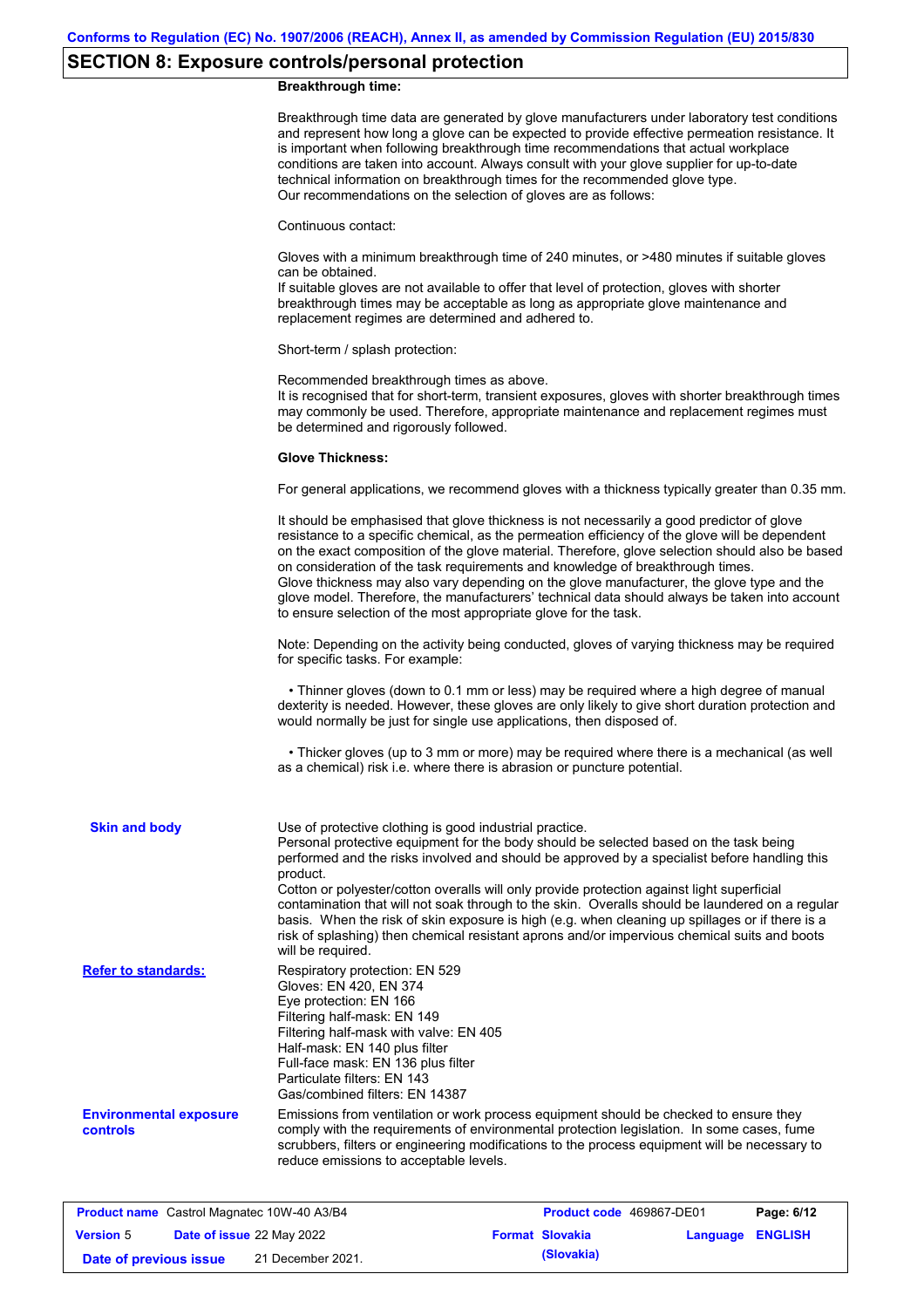# **SECTION 8: Exposure controls/personal protection**

## **Breakthrough time:**

|                                                  | Breakthrough time data are generated by glove manufacturers under laboratory test conditions<br>and represent how long a glove can be expected to provide effective permeation resistance. It<br>is important when following breakthrough time recommendations that actual workplace<br>conditions are taken into account. Always consult with your glove supplier for up-to-date<br>technical information on breakthrough times for the recommended glove type.<br>Our recommendations on the selection of gloves are as follows:                                                                                                                                                    |
|--------------------------------------------------|---------------------------------------------------------------------------------------------------------------------------------------------------------------------------------------------------------------------------------------------------------------------------------------------------------------------------------------------------------------------------------------------------------------------------------------------------------------------------------------------------------------------------------------------------------------------------------------------------------------------------------------------------------------------------------------|
|                                                  | Continuous contact:                                                                                                                                                                                                                                                                                                                                                                                                                                                                                                                                                                                                                                                                   |
|                                                  | Gloves with a minimum breakthrough time of 240 minutes, or >480 minutes if suitable gloves<br>can be obtained.<br>If suitable gloves are not available to offer that level of protection, gloves with shorter<br>breakthrough times may be acceptable as long as appropriate glove maintenance and<br>replacement regimes are determined and adhered to.                                                                                                                                                                                                                                                                                                                              |
|                                                  | Short-term / splash protection:                                                                                                                                                                                                                                                                                                                                                                                                                                                                                                                                                                                                                                                       |
|                                                  | Recommended breakthrough times as above.<br>It is recognised that for short-term, transient exposures, gloves with shorter breakthrough times<br>may commonly be used. Therefore, appropriate maintenance and replacement regimes must<br>be determined and rigorously followed.                                                                                                                                                                                                                                                                                                                                                                                                      |
|                                                  | <b>Glove Thickness:</b>                                                                                                                                                                                                                                                                                                                                                                                                                                                                                                                                                                                                                                                               |
|                                                  | For general applications, we recommend gloves with a thickness typically greater than 0.35 mm.                                                                                                                                                                                                                                                                                                                                                                                                                                                                                                                                                                                        |
|                                                  | It should be emphasised that glove thickness is not necessarily a good predictor of glove<br>resistance to a specific chemical, as the permeation efficiency of the glove will be dependent<br>on the exact composition of the glove material. Therefore, glove selection should also be based<br>on consideration of the task requirements and knowledge of breakthrough times.<br>Glove thickness may also vary depending on the glove manufacturer, the glove type and the<br>glove model. Therefore, the manufacturers' technical data should always be taken into account<br>to ensure selection of the most appropriate glove for the task.                                     |
|                                                  | Note: Depending on the activity being conducted, gloves of varying thickness may be required<br>for specific tasks. For example:                                                                                                                                                                                                                                                                                                                                                                                                                                                                                                                                                      |
|                                                  | • Thinner gloves (down to 0.1 mm or less) may be required where a high degree of manual<br>dexterity is needed. However, these gloves are only likely to give short duration protection and<br>would normally be just for single use applications, then disposed of.                                                                                                                                                                                                                                                                                                                                                                                                                  |
|                                                  | • Thicker gloves (up to 3 mm or more) may be required where there is a mechanical (as well<br>as a chemical) risk i.e. where there is abrasion or puncture potential.                                                                                                                                                                                                                                                                                                                                                                                                                                                                                                                 |
| <b>Skin and body</b>                             | Use of protective clothing is good industrial practice.<br>Personal protective equipment for the body should be selected based on the task being<br>performed and the risks involved and should be approved by a specialist before handling this<br>product.<br>Cotton or polyester/cotton overalls will only provide protection against light superficial<br>contamination that will not soak through to the skin. Overalls should be laundered on a regular<br>basis. When the risk of skin exposure is high (e.g. when cleaning up spillages or if there is a<br>risk of splashing) then chemical resistant aprons and/or impervious chemical suits and boots<br>will be required. |
| <b>Refer to standards:</b>                       | Respiratory protection: EN 529<br>Gloves: EN 420, EN 374<br>Eye protection: EN 166<br>Filtering half-mask: EN 149<br>Filtering half-mask with valve: EN 405<br>Half-mask: EN 140 plus filter<br>Full-face mask: EN 136 plus filter<br>Particulate filters: EN 143<br>Gas/combined filters: EN 14387                                                                                                                                                                                                                                                                                                                                                                                   |
| <b>Environmental exposure</b><br><b>controls</b> | Emissions from ventilation or work process equipment should be checked to ensure they<br>comply with the requirements of environmental protection legislation. In some cases, fume<br>scrubbers, filters or engineering modifications to the process equipment will be necessary to<br>reduce emissions to acceptable levels.                                                                                                                                                                                                                                                                                                                                                         |

| <b>Product name</b> Castrol Magnatec 10W-40 A3/B4 |  |                                  | <b>Product code</b> 469867-DE01 |                        | Page: 6/12              |  |
|---------------------------------------------------|--|----------------------------------|---------------------------------|------------------------|-------------------------|--|
| <b>Version 5</b>                                  |  | <b>Date of issue 22 May 2022</b> |                                 | <b>Format Slovakia</b> | <b>Language ENGLISH</b> |  |
| Date of previous issue                            |  | 21 December 2021.                |                                 | (Slovakia)             |                         |  |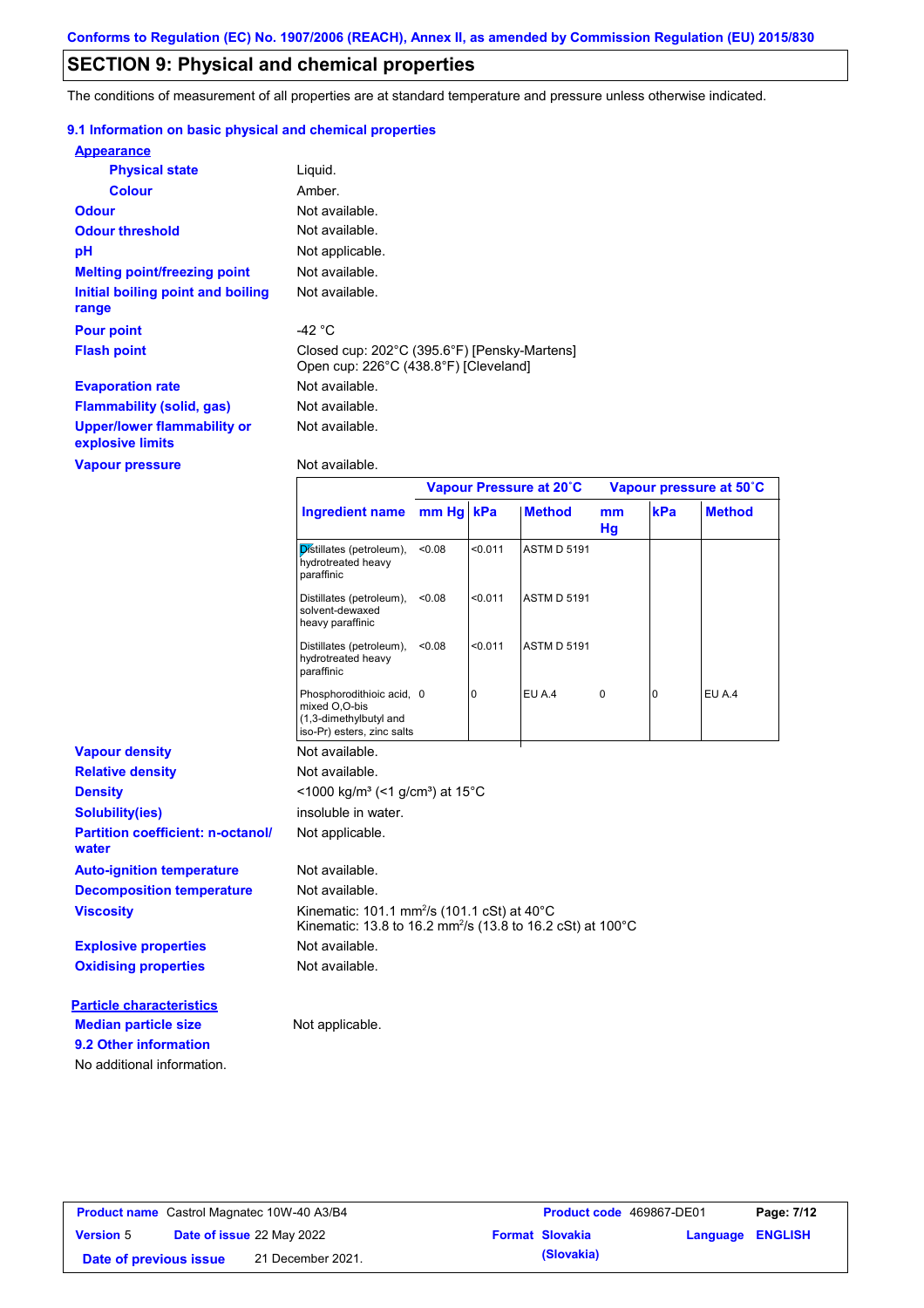## **SECTION 9: Physical and chemical properties**

The conditions of measurement of all properties are at standard temperature and pressure unless otherwise indicated.

### **9.1 Information on basic physical and chemical properties**

| <b>Appearance</b>                                      |                                                                                       |
|--------------------------------------------------------|---------------------------------------------------------------------------------------|
| <b>Physical state</b>                                  | Liguid.                                                                               |
| <b>Colour</b>                                          | Amber.                                                                                |
| <b>Odour</b>                                           | Not available.                                                                        |
| <b>Odour threshold</b>                                 | Not available.                                                                        |
| рH                                                     | Not applicable.                                                                       |
| <b>Melting point/freezing point</b>                    | Not available.                                                                        |
| Initial boiling point and boiling<br>range             | Not available.                                                                        |
| <b>Pour point</b>                                      | -42 $^{\circ}$ C                                                                      |
| <b>Flash point</b>                                     | Closed cup: 202°C (395.6°F) [Pensky-Martens]<br>Open cup: 226°C (438.8°F) [Cleveland] |
| <b>Evaporation rate</b>                                | Not available.                                                                        |
| <b>Flammability (solid, gas)</b>                       | Not available.                                                                        |
| <b>Upper/lower flammability or</b><br>explosive limits | Not available.                                                                        |
| <b>Vapour pressure</b>                                 | Not available.                                                                        |

|                                                   | Ingredient name mm Hg   kPa                                                                                                       |        |         | <b>Method</b>      | mm<br>Hg    | kPa      | <b>Method</b> |
|---------------------------------------------------|-----------------------------------------------------------------------------------------------------------------------------------|--------|---------|--------------------|-------------|----------|---------------|
|                                                   | Distillates (petroleum),<br>hydrotreated heavy<br>paraffinic                                                                      | < 0.08 | < 0.011 | <b>ASTM D 5191</b> |             |          |               |
|                                                   | Distillates (petroleum),<br>solvent-dewaxed<br>heavy paraffinic                                                                   | < 0.08 | < 0.011 | <b>ASTM D 5191</b> |             |          |               |
|                                                   | Distillates (petroleum),<br>hydrotreated heavy<br>paraffinic                                                                      | < 0.08 | < 0.011 | <b>ASTM D 5191</b> |             |          |               |
|                                                   | Phosphorodithioic acid, 0<br>mixed O,O-bis<br>(1,3-dimethylbutyl and<br>iso-Pr) esters, zinc salts                                |        | 0       | EU A.4             | $\mathbf 0$ | $\Omega$ | <b>EU A.4</b> |
| <b>Vapour density</b>                             | Not available.                                                                                                                    |        |         |                    |             |          |               |
| <b>Relative density</b>                           | Not available.                                                                                                                    |        |         |                    |             |          |               |
| <b>Density</b>                                    | <1000 kg/m <sup>3</sup> (<1 g/cm <sup>3</sup> ) at 15°C                                                                           |        |         |                    |             |          |               |
| <b>Solubility(ies)</b>                            | insoluble in water.                                                                                                               |        |         |                    |             |          |               |
| <b>Partition coefficient: n-octanol/</b><br>water | Not applicable.                                                                                                                   |        |         |                    |             |          |               |
| <b>Auto-ignition temperature</b>                  | Not available.                                                                                                                    |        |         |                    |             |          |               |
| <b>Decomposition temperature</b>                  | Not available.                                                                                                                    |        |         |                    |             |          |               |
| <b>Viscosity</b>                                  | Kinematic: 101.1 mm <sup>2</sup> /s (101.1 cSt) at 40°C<br>Kinematic: 13.8 to 16.2 mm <sup>2</sup> /s (13.8 to 16.2 cSt) at 100°C |        |         |                    |             |          |               |
| <b>Explosive properties</b>                       | Not available.                                                                                                                    |        |         |                    |             |          |               |
| <b>Oxidising properties</b>                       | Not available.                                                                                                                    |        |         |                    |             |          |               |
| <b>Particle characteristics</b>                   |                                                                                                                                   |        |         |                    |             |          |               |
| <b>Median particle size</b>                       | Not applicable.                                                                                                                   |        |         |                    |             |          |               |
| 9.2 Other information                             |                                                                                                                                   |        |         |                    |             |          |               |
| No additional information.                        |                                                                                                                                   |        |         |                    |             |          |               |

**Vapour Pressure at 20˚C Vapour pressure at 50˚C**

| <b>Product name</b> Castrol Magnatec 10W-40 A3/B4 |  |                                  | Product code 469867-DE01 |                        | Page: 7/12 |                |
|---------------------------------------------------|--|----------------------------------|--------------------------|------------------------|------------|----------------|
| <b>Version 5</b>                                  |  | <b>Date of issue 22 May 2022</b> |                          | <b>Format Slovakia</b> | Language   | <b>ENGLISH</b> |
| Date of previous issue                            |  | 21 December 2021.                |                          | (Slovakia)             |            |                |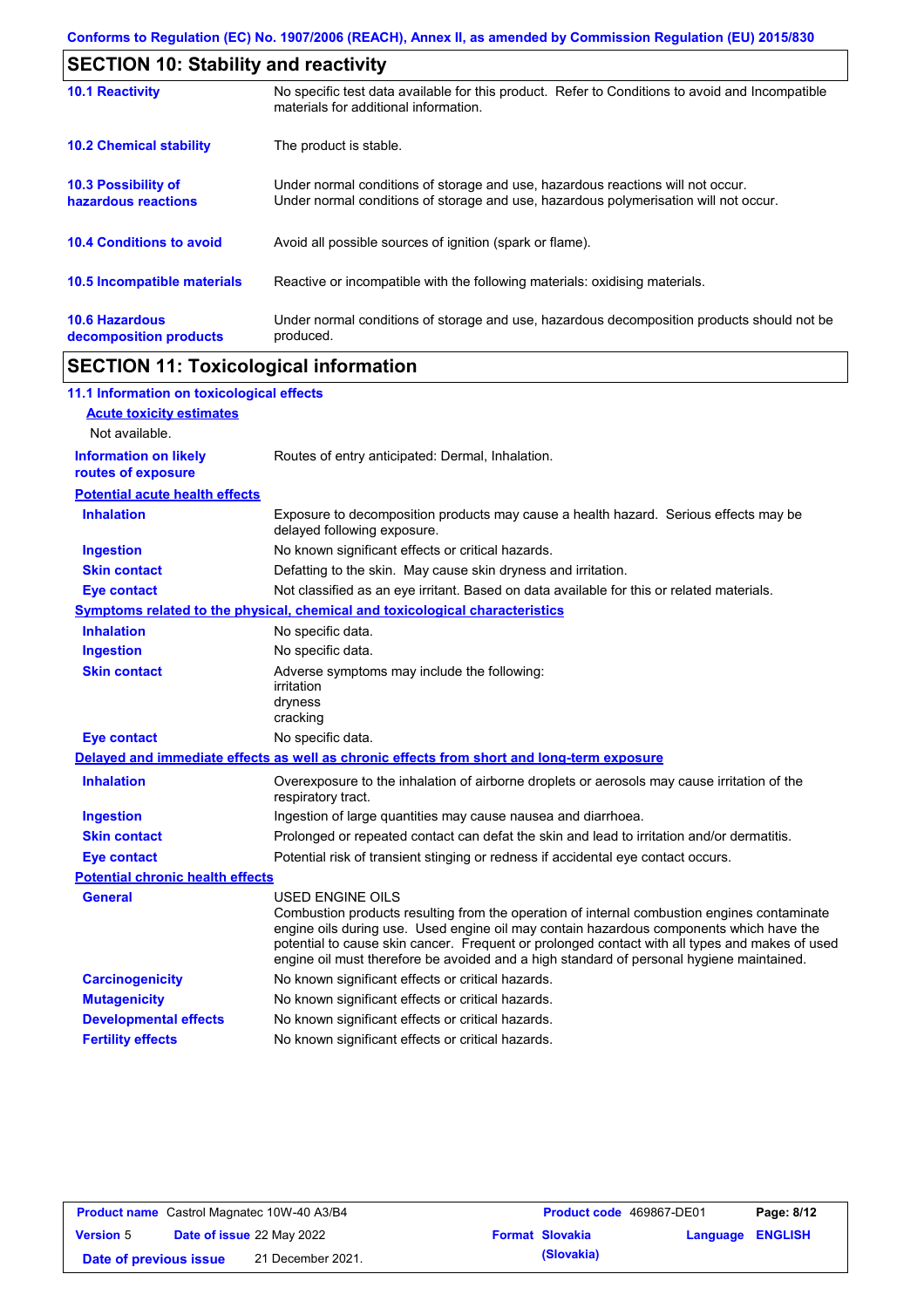| <b>SECTION 10: Stability and reactivity</b>     |                                                                                                                                                                         |
|-------------------------------------------------|-------------------------------------------------------------------------------------------------------------------------------------------------------------------------|
| <b>10.1 Reactivity</b>                          | No specific test data available for this product. Refer to Conditions to avoid and Incompatible<br>materials for additional information.                                |
| <b>10.2 Chemical stability</b>                  | The product is stable.                                                                                                                                                  |
| 10.3 Possibility of<br>hazardous reactions      | Under normal conditions of storage and use, hazardous reactions will not occur.<br>Under normal conditions of storage and use, hazardous polymerisation will not occur. |
| <b>10.4 Conditions to avoid</b>                 | Avoid all possible sources of ignition (spark or flame).                                                                                                                |
| <b>10.5 Incompatible materials</b>              | Reactive or incompatible with the following materials: oxidising materials.                                                                                             |
| <b>10.6 Hazardous</b><br>decomposition products | Under normal conditions of storage and use, hazardous decomposition products should not be<br>produced.                                                                 |

# **SECTION 11: Toxicological information**

| 11.1 Information on toxicological effects          |                                                                                                                                                                                                                                                                                                                                                                                                          |
|----------------------------------------------------|----------------------------------------------------------------------------------------------------------------------------------------------------------------------------------------------------------------------------------------------------------------------------------------------------------------------------------------------------------------------------------------------------------|
| <b>Acute toxicity estimates</b>                    |                                                                                                                                                                                                                                                                                                                                                                                                          |
| Not available.                                     |                                                                                                                                                                                                                                                                                                                                                                                                          |
| <b>Information on likely</b><br>routes of exposure | Routes of entry anticipated: Dermal, Inhalation.                                                                                                                                                                                                                                                                                                                                                         |
| <b>Potential acute health effects</b>              |                                                                                                                                                                                                                                                                                                                                                                                                          |
| <b>Inhalation</b>                                  | Exposure to decomposition products may cause a health hazard. Serious effects may be<br>delayed following exposure.                                                                                                                                                                                                                                                                                      |
| <b>Ingestion</b>                                   | No known significant effects or critical hazards.                                                                                                                                                                                                                                                                                                                                                        |
| <b>Skin contact</b>                                | Defatting to the skin. May cause skin dryness and irritation.                                                                                                                                                                                                                                                                                                                                            |
| <b>Eye contact</b>                                 | Not classified as an eye irritant. Based on data available for this or related materials.                                                                                                                                                                                                                                                                                                                |
|                                                    | <b>Symptoms related to the physical, chemical and toxicological characteristics</b>                                                                                                                                                                                                                                                                                                                      |
| <b>Inhalation</b>                                  | No specific data.                                                                                                                                                                                                                                                                                                                                                                                        |
| <b>Ingestion</b>                                   | No specific data.                                                                                                                                                                                                                                                                                                                                                                                        |
| <b>Skin contact</b>                                | Adverse symptoms may include the following:<br>irritation<br>dryness<br>cracking                                                                                                                                                                                                                                                                                                                         |
| <b>Eye contact</b>                                 | No specific data.                                                                                                                                                                                                                                                                                                                                                                                        |
|                                                    | Delayed and immediate effects as well as chronic effects from short and long-term exposure                                                                                                                                                                                                                                                                                                               |
| <b>Inhalation</b>                                  | Overexposure to the inhalation of airborne droplets or aerosols may cause irritation of the<br>respiratory tract.                                                                                                                                                                                                                                                                                        |
| <b>Ingestion</b>                                   | Ingestion of large quantities may cause nausea and diarrhoea.                                                                                                                                                                                                                                                                                                                                            |
| <b>Skin contact</b>                                | Prolonged or repeated contact can defat the skin and lead to irritation and/or dermatitis.                                                                                                                                                                                                                                                                                                               |
| <b>Eye contact</b>                                 | Potential risk of transient stinging or redness if accidental eye contact occurs.                                                                                                                                                                                                                                                                                                                        |
| <b>Potential chronic health effects</b>            |                                                                                                                                                                                                                                                                                                                                                                                                          |
| <b>General</b>                                     | USED ENGINE OILS<br>Combustion products resulting from the operation of internal combustion engines contaminate<br>engine oils during use. Used engine oil may contain hazardous components which have the<br>potential to cause skin cancer. Frequent or prolonged contact with all types and makes of used<br>engine oil must therefore be avoided and a high standard of personal hygiene maintained. |
| <b>Carcinogenicity</b>                             | No known significant effects or critical hazards.                                                                                                                                                                                                                                                                                                                                                        |
| <b>Mutagenicity</b>                                | No known significant effects or critical hazards.                                                                                                                                                                                                                                                                                                                                                        |
| <b>Developmental effects</b>                       | No known significant effects or critical hazards.                                                                                                                                                                                                                                                                                                                                                        |
| <b>Fertility effects</b>                           | No known significant effects or critical hazards.                                                                                                                                                                                                                                                                                                                                                        |

| <b>Product name</b> Castrol Magnatec 10W-40 A3/B4 |                                  |                   | <b>Product code</b> 469867-DE01 |                        | Page: 8/12              |  |
|---------------------------------------------------|----------------------------------|-------------------|---------------------------------|------------------------|-------------------------|--|
| <b>Version 5</b>                                  | <b>Date of issue 22 May 2022</b> |                   |                                 | <b>Format Slovakia</b> | <b>Language ENGLISH</b> |  |
| Date of previous issue                            |                                  | 21 December 2021. |                                 | (Slovakia)             |                         |  |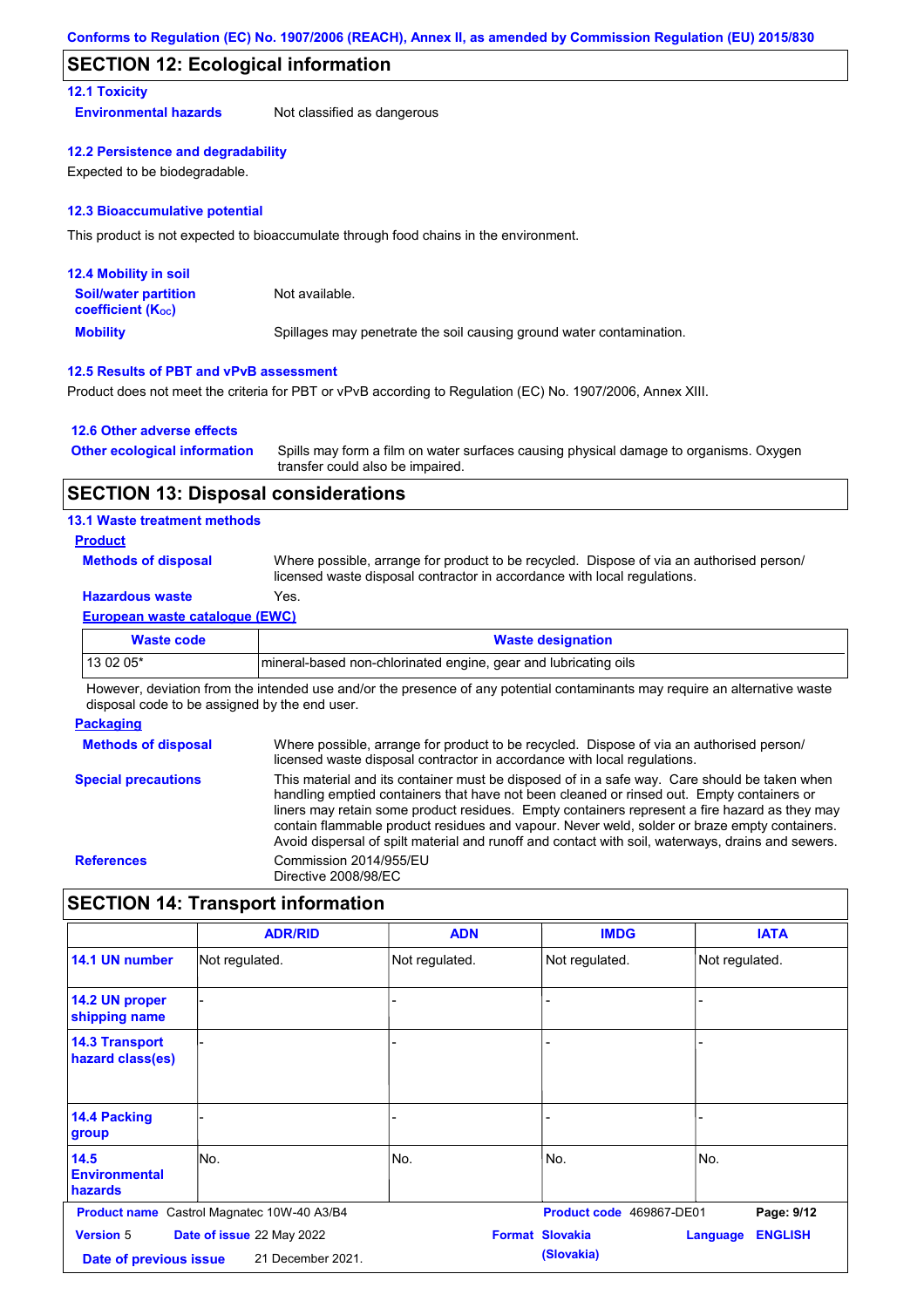## **SECTION 12: Ecological information**

### **12.1 Toxicity**

**Environmental hazards** Not classified as dangerous

#### **12.2 Persistence and degradability**

Expected to be biodegradable.

#### **12.3 Bioaccumulative potential**

This product is not expected to bioaccumulate through food chains in the environment.

| <b>12.4 Mobility in soil</b>                                  |                                                                      |
|---------------------------------------------------------------|----------------------------------------------------------------------|
| <b>Soil/water partition</b><br>coefficient (K <sub>oc</sub> ) | Not available.                                                       |
| <b>Mobility</b>                                               | Spillages may penetrate the soil causing ground water contamination. |

#### **12.5 Results of PBT and vPvB assessment**

Product does not meet the criteria for PBT or vPvB according to Regulation (EC) No. 1907/2006, Annex XIII.

### **12.6 Other adverse effects**

| <b>Other ecological information</b> | Spills may form a film on water surfaces causing physical damage to organisms. Oxygen |
|-------------------------------------|---------------------------------------------------------------------------------------|
|                                     | transfer could also be impaired.                                                      |

### **SECTION 13: Disposal considerations**

#### **13.1 Waste treatment methods**

### **Product**

**Methods of disposal**

Where possible, arrange for product to be recycled. Dispose of via an authorised person/ licensed waste disposal contractor in accordance with local regulations.

## **Hazardous waste** Yes.

### **European waste catalogue (EWC)**

| Waste code | <b>Waste designation</b>                                         |
|------------|------------------------------------------------------------------|
| 13 02 05*  | Imineral-based non-chlorinated engine, gear and lubricating oils |

However, deviation from the intended use and/or the presence of any potential contaminants may require an alternative waste disposal code to be assigned by the end user.

#### **Packaging**

**Methods of disposal Special precautions** Where possible, arrange for product to be recycled. Dispose of via an authorised person/ licensed waste disposal contractor in accordance with local regulations. This material and its container must be disposed of in a safe way. Care should be taken when handling emptied containers that have not been cleaned or rinsed out. Empty containers or liners may retain some product residues. Empty containers represent a fire hazard as they may contain flammable product residues and vapour. Never weld, solder or braze empty containers. Avoid dispersal of spilt material and runoff and contact with soil, waterways, drains and sewers. **References** Commission 2014/955/EU Directive 2008/98/EC

## **SECTION 14: Transport information**

|                                                | <b>ADR/RID</b>                                    | <b>ADN</b>     | <b>IMDG</b>                          | <b>IATA</b>                |
|------------------------------------------------|---------------------------------------------------|----------------|--------------------------------------|----------------------------|
| 14.1 UN number                                 | Not regulated.                                    | Not regulated. | Not regulated.                       | Not regulated.             |
| 14.2 UN proper<br>shipping name                |                                                   |                |                                      |                            |
| <b>14.3 Transport</b><br>hazard class(es)      |                                                   |                |                                      |                            |
| <b>14.4 Packing</b><br>group                   |                                                   |                |                                      |                            |
| 14.5<br><b>Environmental</b><br><b>hazards</b> | No.                                               | No.            | No.                                  | No.                        |
|                                                | <b>Product name</b> Castrol Magnatec 10W-40 A3/B4 |                | Product code 469867-DE01             | Page: 9/12                 |
| <b>Version 5</b><br>Date of previous issue     | Date of issue 22 May 2022<br>21 December 2021.    |                | <b>Format Slovakia</b><br>(Slovakia) | <b>ENGLISH</b><br>Language |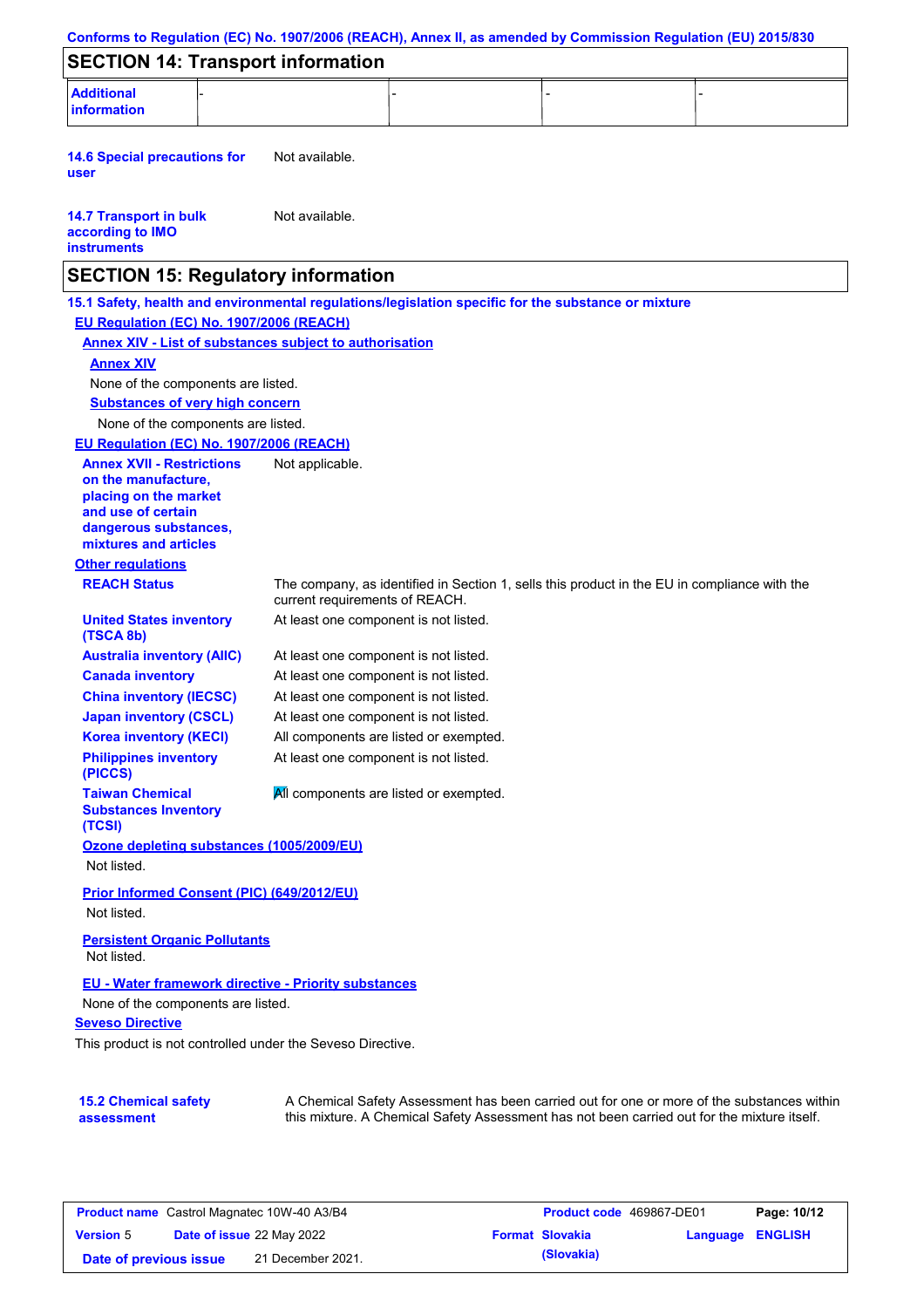|                                                                                                                                                                                            | Conforms to Regulation (EC) No. 1907/2006 (REACH), Annex II, as amended by Commission Regulation (EU) 2015/830                                                                            |
|--------------------------------------------------------------------------------------------------------------------------------------------------------------------------------------------|-------------------------------------------------------------------------------------------------------------------------------------------------------------------------------------------|
| <b>SECTION 14: Transport information</b>                                                                                                                                                   |                                                                                                                                                                                           |
| <b>Additional</b><br><b>information</b>                                                                                                                                                    |                                                                                                                                                                                           |
| <b>14.6 Special precautions for</b><br>user                                                                                                                                                | Not available.                                                                                                                                                                            |
| <b>14.7 Transport in bulk</b><br>according to IMO<br><b>instruments</b>                                                                                                                    | Not available.                                                                                                                                                                            |
| <b>SECTION 15: Regulatory information</b>                                                                                                                                                  |                                                                                                                                                                                           |
| EU Regulation (EC) No. 1907/2006 (REACH)<br><b>Annex XIV</b><br>None of the components are listed.<br><b>Substances of very high concern</b><br>None of the components are listed.         | 15.1 Safety, health and environmental regulations/legislation specific for the substance or mixture<br><b>Annex XIV - List of substances subject to authorisation</b>                     |
| EU Regulation (EC) No. 1907/2006 (REACH)<br><b>Annex XVII - Restrictions</b><br>on the manufacture,<br>placing on the market<br>and use of certain                                         | Not applicable.                                                                                                                                                                           |
| dangerous substances,<br>mixtures and articles                                                                                                                                             |                                                                                                                                                                                           |
| <b>Other regulations</b>                                                                                                                                                                   |                                                                                                                                                                                           |
| <b>REACH Status</b>                                                                                                                                                                        | The company, as identified in Section 1, sells this product in the EU in compliance with the<br>current requirements of REACH.                                                            |
| <b>United States inventory</b><br>(TSCA 8b)                                                                                                                                                | At least one component is not listed.                                                                                                                                                     |
| <b>Australia inventory (AIIC)</b>                                                                                                                                                          | At least one component is not listed.                                                                                                                                                     |
| <b>Canada inventory</b>                                                                                                                                                                    | At least one component is not listed.                                                                                                                                                     |
| <b>China inventory (IECSC)</b>                                                                                                                                                             | At least one component is not listed.                                                                                                                                                     |
| <b>Japan inventory (CSCL)</b>                                                                                                                                                              | At least one component is not listed.                                                                                                                                                     |
| <b>Korea inventory (KECI)</b><br><b>Philippines inventory</b><br>(PICCS)                                                                                                                   | All components are listed or exempted.<br>At least one component is not listed.                                                                                                           |
| <b>Taiwan Chemical</b><br><b>Substances Inventory</b><br>(TCSI)                                                                                                                            | All components are listed or exempted.                                                                                                                                                    |
| Ozone depleting substances (1005/2009/EU)<br>Not listed.                                                                                                                                   |                                                                                                                                                                                           |
| Prior Informed Consent (PIC) (649/2012/EU)<br>Not listed.                                                                                                                                  |                                                                                                                                                                                           |
| <b>Persistent Organic Pollutants</b><br>Not listed.                                                                                                                                        |                                                                                                                                                                                           |
| <b>EU - Water framework directive - Priority substances</b><br>None of the components are listed.<br><b>Seveso Directive</b><br>This product is not controlled under the Seveso Directive. |                                                                                                                                                                                           |
| <b>15.2 Chemical safety</b><br>assessment                                                                                                                                                  | A Chemical Safety Assessment has been carried out for one or more of the substances within<br>this mixture. A Chemical Safety Assessment has not been carried out for the mixture itself. |

| <b>Product name</b> Castrol Magnatec 10W-40 A3/B4 |  | <b>Product code</b> 469867-DE01  |  | Page: 10/12            |                         |  |
|---------------------------------------------------|--|----------------------------------|--|------------------------|-------------------------|--|
| <b>Version 5</b>                                  |  | <b>Date of issue 22 May 2022</b> |  | <b>Format Slovakia</b> | <b>Language ENGLISH</b> |  |
| Date of previous issue                            |  | 21 December 2021.                |  | (Slovakia)             |                         |  |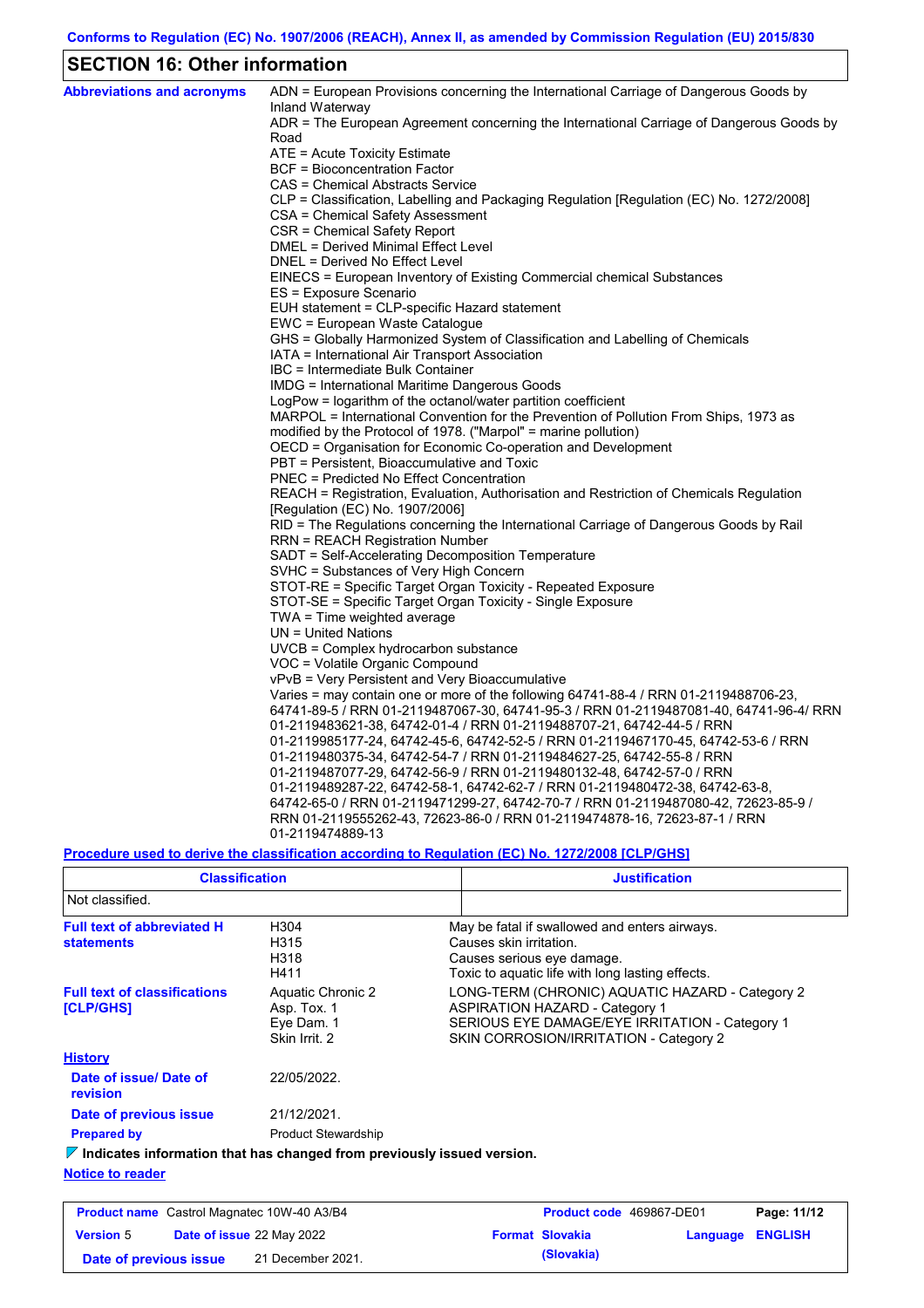## **SECTION 16: Other information**

| <b>Abbreviations and acronyms</b> | ADN = European Provisions concerning the International Carriage of Dangerous Goods by<br>Inland Waterway                   |
|-----------------------------------|----------------------------------------------------------------------------------------------------------------------------|
|                                   | ADR = The European Agreement concerning the International Carriage of Dangerous Goods by                                   |
|                                   | Road                                                                                                                       |
|                                   | ATE = Acute Toxicity Estimate                                                                                              |
|                                   | BCF = Bioconcentration Factor                                                                                              |
|                                   | CAS = Chemical Abstracts Service                                                                                           |
|                                   | CLP = Classification, Labelling and Packaging Regulation [Regulation (EC) No. 1272/2008]                                   |
|                                   | CSA = Chemical Safety Assessment                                                                                           |
|                                   | CSR = Chemical Safety Report                                                                                               |
|                                   | DMEL = Derived Minimal Effect Level                                                                                        |
|                                   | DNEL = Derived No Effect Level                                                                                             |
|                                   | EINECS = European Inventory of Existing Commercial chemical Substances                                                     |
|                                   | ES = Exposure Scenario                                                                                                     |
|                                   | EUH statement = CLP-specific Hazard statement                                                                              |
|                                   | EWC = European Waste Catalogue                                                                                             |
|                                   | GHS = Globally Harmonized System of Classification and Labelling of Chemicals                                              |
|                                   | IATA = International Air Transport Association                                                                             |
|                                   | IBC = Intermediate Bulk Container                                                                                          |
|                                   | IMDG = International Maritime Dangerous Goods                                                                              |
|                                   | LogPow = logarithm of the octanol/water partition coefficient                                                              |
|                                   | MARPOL = International Convention for the Prevention of Pollution From Ships, 1973 as                                      |
|                                   | modified by the Protocol of 1978. ("Marpol" = marine pollution)                                                            |
|                                   | OECD = Organisation for Economic Co-operation and Development                                                              |
|                                   | PBT = Persistent, Bioaccumulative and Toxic                                                                                |
|                                   | <b>PNEC = Predicted No Effect Concentration</b>                                                                            |
|                                   | REACH = Registration, Evaluation, Authorisation and Restriction of Chemicals Regulation                                    |
|                                   | [Regulation (EC) No. 1907/2006]                                                                                            |
|                                   | RID = The Regulations concerning the International Carriage of Dangerous Goods by Rail                                     |
|                                   | <b>RRN = REACH Registration Number</b>                                                                                     |
|                                   | SADT = Self-Accelerating Decomposition Temperature                                                                         |
|                                   | SVHC = Substances of Very High Concern                                                                                     |
|                                   | STOT-RE = Specific Target Organ Toxicity - Repeated Exposure<br>STOT-SE = Specific Target Organ Toxicity - Single Exposure |
|                                   | $TWA = Time$ weighted average                                                                                              |
|                                   | $UN = United Nations$                                                                                                      |
|                                   | UVCB = Complex hydrocarbon substance                                                                                       |
|                                   | VOC = Volatile Organic Compound                                                                                            |
|                                   | vPvB = Very Persistent and Very Bioaccumulative                                                                            |
|                                   | Varies = may contain one or more of the following 64741-88-4 / RRN 01-2119488706-23,                                       |
|                                   | 64741-89-5 / RRN 01-2119487067-30, 64741-95-3 / RRN 01-2119487081-40, 64741-96-4/ RRN                                      |
|                                   | 01-2119483621-38, 64742-01-4 / RRN 01-2119488707-21, 64742-44-5 / RRN                                                      |
|                                   | 01-2119985177-24, 64742-45-6, 64742-52-5 / RRN 01-2119467170-45, 64742-53-6 / RRN                                          |
|                                   | 01-2119480375-34, 64742-54-7 / RRN 01-2119484627-25, 64742-55-8 / RRN                                                      |
|                                   | 01-2119487077-29, 64742-56-9 / RRN 01-2119480132-48, 64742-57-0 / RRN                                                      |
|                                   | 01-2119489287-22, 64742-58-1, 64742-62-7 / RRN 01-2119480472-38, 64742-63-8,                                               |
|                                   | 64742-65-0 / RRN 01-2119471299-27, 64742-70-7 / RRN 01-2119487080-42, 72623-85-9 /                                         |
|                                   | RRN 01-2119555262-43, 72623-86-0 / RRN 01-2119474878-16, 72623-87-1 / RRN                                                  |
|                                   | 01-2119474889-13                                                                                                           |
|                                   |                                                                                                                            |

### **Procedure used to derive the classification according to Regulation (EC) No. 1272/2008 [CLP/GHS]**

| <b>Classification</b>                                                           |                                                                 | <b>Justification</b>                                                                                                                                                                 |
|---------------------------------------------------------------------------------|-----------------------------------------------------------------|--------------------------------------------------------------------------------------------------------------------------------------------------------------------------------------|
| Not classified.                                                                 |                                                                 |                                                                                                                                                                                      |
| <b>Full text of abbreviated H</b><br><b>statements</b>                          | H304<br>H315<br>H318<br>H411                                    | May be fatal if swallowed and enters airways.<br>Causes skin irritation.<br>Causes serious eye damage.<br>Toxic to aquatic life with long lasting effects.                           |
| <b>Full text of classifications</b><br><b>[CLP/GHS]</b>                         | Aquatic Chronic 2<br>Asp. Tox. 1<br>Eye Dam. 1<br>Skin Irrit. 2 | LONG-TERM (CHRONIC) AQUATIC HAZARD - Category 2<br><b>ASPIRATION HAZARD - Category 1</b><br>SERIOUS EYE DAMAGE/EYE IRRITATION - Category 1<br>SKIN CORROSION/IRRITATION - Category 2 |
| <b>History</b>                                                                  |                                                                 |                                                                                                                                                                                      |
| Date of issue/Date of<br>revision                                               | 22/05/2022.                                                     |                                                                                                                                                                                      |
| Date of previous issue                                                          | 21/12/2021.                                                     |                                                                                                                                                                                      |
| <b>Prepared by</b>                                                              | <b>Product Stewardship</b>                                      |                                                                                                                                                                                      |
| $\nabla$ Indicates information that has changed from previously issued version. |                                                                 |                                                                                                                                                                                      |

### **Notice to reader**

| <b>Product name</b> Castrol Magnatec 10W-40 A3/B4 |  | <b>Product code</b> 469867-DE01  |  | Page: 11/12            |                  |  |
|---------------------------------------------------|--|----------------------------------|--|------------------------|------------------|--|
| <b>Version 5</b>                                  |  | <b>Date of issue 22 May 2022</b> |  | <b>Format Slovakia</b> | Language ENGLISH |  |
| Date of previous issue                            |  | 21 December 2021.                |  | (Slovakia)             |                  |  |